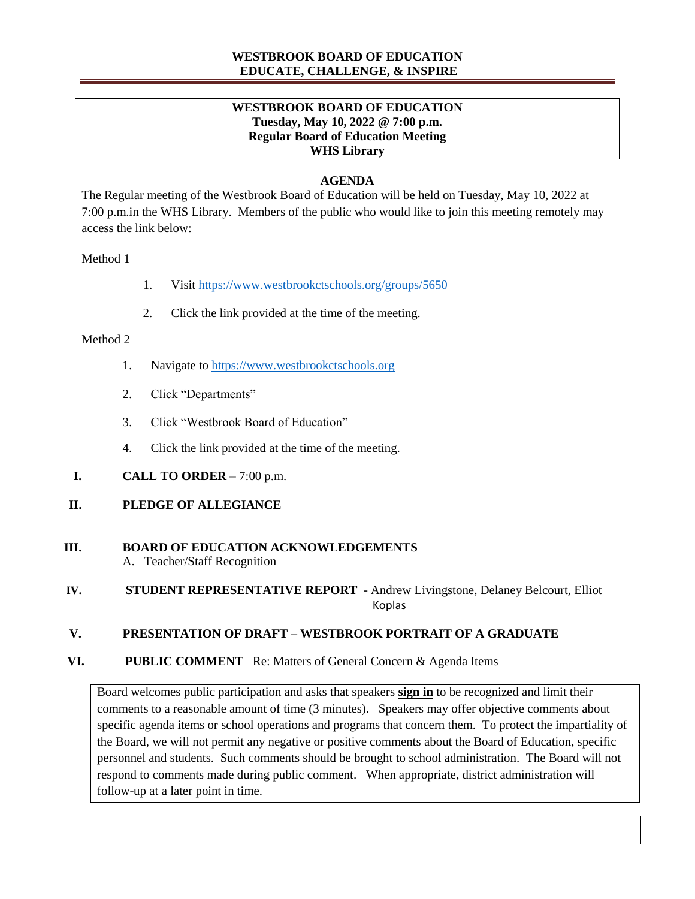## **WESTBROOK BOARD OF EDUCATION EDUCATE, CHALLENGE, & INSPIRE**

## **WESTBROOK BOARD OF EDUCATION Tuesday, May 10, 2022 @ 7:00 p.m. Regular Board of Education Meeting WHS Library**

## **AGENDA**

The Regular meeting of the Westbrook Board of Education will be held on Tuesday, May 10, 2022 at 7:00 p.m.in the WHS Library. Members of the public who would like to join this meeting remotely may access the link below:

#### Method 1

- 1. Visit <https://www.westbrookctschools.org/groups/5650>
- 2. Click the link provided at the time of the meeting.

#### Method 2

- 1. Navigate to [https://www.westbrookctschools.org](https://www.westbrookctschools.org/)
- 2. Click "Departments"
- 3. Click "Westbrook Board of Education"
- 4. Click the link provided at the time of the meeting.
- **I. CALL TO ORDER** 7:00 p.m.

## **II. PLEDGE OF ALLEGIANCE**

# **III. BOARD OF EDUCATION ACKNOWLEDGEMENTS**

A. Teacher/Staff Recognition

**IV. STUDENT REPRESENTATIVE REPORT** - Andrew Livingstone, Delaney Belcourt, Elliot ا المستخدم المستخدم المستخدم المستخدم المستخدم المستخدم المستخدم المستخدم المستخدم المستخدم المستخدم المستخدم

# **V. PRESENTATION OF DRAFT – WESTBROOK PORTRAIT OF A GRADUATE**

 **VI. PUBLIC COMMENT** Re: Matters of General Concern & Agenda Items

Board welcomes public participation and asks that speakers **sign in** to be recognized and limit their comments to a reasonable amount of time (3 minutes). Speakers may offer objective comments about specific agenda items or school operations and programs that concern them. To protect the impartiality of the Board, we will not permit any negative or positive comments about the Board of Education, specific personnel and students. Such comments should be brought to school administration. The Board will not respond to comments made during public comment. When appropriate, district administration will follow-up at a later point in time.